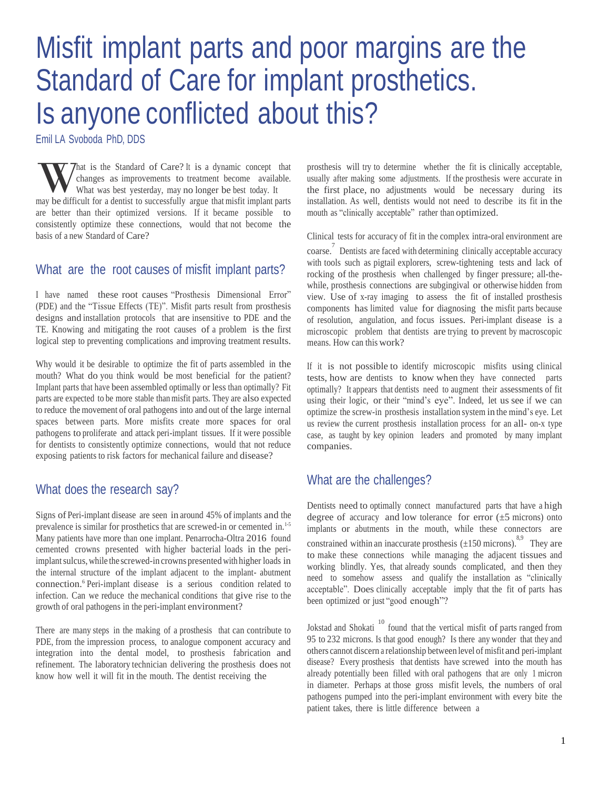# Misfit implant parts and poor margins are the Standard of Care for implant prosthetics. Is anyone conflicted about this?

Emil LA Svoboda PhD, DDS

W  $\sim$  that is the Standard of Care? It is a dynamic concept that changes as improvements to treatment become available.<br>What was best yesterday, may no longer be best today. It may be difficult for a dentist to successful hat is the Standard of Care? It is a dynamic concept that changes as improvements to treatment become available. What was best yesterday, may no longer be best today. It are better than their optimized versions. If it became possible to consistently optimize these connections, would that not become the basis of a new Standard of Care?

#### What are the root causes of misfit implant parts?

I have named these root causes "Prosthesis Dimensional Error" (PDE) and the "Tissue Effects (TE)". Misfit parts result from prosthesis designs and installation protocols that are insensitive to PDE and the TE. Knowing and mitigating the root causes of a problem is the first logical step to preventing complications and improving treatment results.

Why would it be desirable to optimize the fit of parts assembled in the mouth? What do you think would be most beneficial for the patient? Implant parts that have been assembled optimally or less than optimally? Fit parts are expected to be more stable than misfit parts. They are also expected to reduce the movement of oral pathogens into and out of the large internal spaces between parts. More misfits create more spaces for oral pathogens to proliferate and attack peri-implant tissues. If it were possible for dentists to consistently optimize connections, would that not reduce exposing patients to risk factors for mechanical failure and disease?

## What does the research say?

Signs of Peri-implant disease are seen in around 45% ofimplants and the prevalence is similar for prosthetics that are screwed-in or cemented in.1-5 Many patients have more than one implant. Penarrocha-Oltra 2016 found cemented crowns presented with higher bacterial loads in the periimplant sulcus, while the screwed-in crowns presented with higher loads in the internal structure of the implant adjacent to the implant- abutment connection.<sup>6</sup> Peri-implant disease is a serious condition related to infection. Can we reduce the mechanical conditions that give rise to the growth of oral pathogens in the peri-implant environment?

There are many steps in the making of a prosthesis that can contribute to PDE, from the impression process, to analogue component accuracy and integration into the dental model, to prosthesis fabrication and refinement. The laboratory technician delivering the prosthesis does not know how well it will fit in the mouth. The dentist receiving the

prosthesis will try to determine whether the fit is clinically acceptable, usually after making some adjustments. If the prosthesis were accurate in the first place, no adjustments would be necessary during its installation. As well, dentists would not need to describe its fit in the mouth as "clinically acceptable" rather than optimized.

Clinical tests for accuracy of fit in the complex intra-oral environment are

coarse. 7 Dentists are faced with determining clinically acceptable accuracy with tools such as pigtail explorers, screw-tightening tests and lack of rocking of the prosthesis when challenged by finger pressure; all-thewhile, prosthesis connections are subgingival or otherwise hidden from view. Use of x-ray imaging to assess the fit of installed prosthesis components has limited value for diagnosing the misfit parts because of resolution, angulation, and focus issues. Peri-implant disease is a microscopic problem that dentists are trying to prevent by macroscopic means. How can this work?

If it is not possible to identify microscopic misfits using clinical tests, how are dentists to know when they have connected parts optimally? It appears that dentists need to augment their assessments of fit using their logic, or their "mind's eye". Indeed, let us see if we can optimize the screw-in prosthesis installation system in the mind's eye. Let us review the current prosthesis installation process for an all- on-x type case, as taught by key opinion leaders and promoted by many implant companies.

## What are the challenges?

Dentists need to optimally connect manufactured parts that have a high degree of accuracy and low tolerance for error  $(\pm 5 \text{ microns})$  onto implants or abutments in the mouth, while these connectors are constrained within an inaccurate prosthesis  $(\pm 150 \text{ microns})$ . They are to make these connections while managing the adjacent tissues and working blindly. Yes, that already sounds complicated, and then they need to somehow assess and qualify the installation as "clinically acceptable". Does clinically acceptable imply that the fit of parts has been optimized or just "good enough"?

Jokstad and Shokati<sup>10</sup> found that the vertical misfit of parts ranged from 95 to 232 microns. Is that good enough? Is there any wonder that they and others cannot discern a relationship between level of misfit and peri-implant disease? Every prosthesis that dentists have screwed into the mouth has already potentially been filled with oral pathogens that are only 1 micron in diameter. Perhaps at those gross misfit levels, the numbers of oral pathogens pumped into the peri-implant environment with every bite the patient takes, there is little difference between a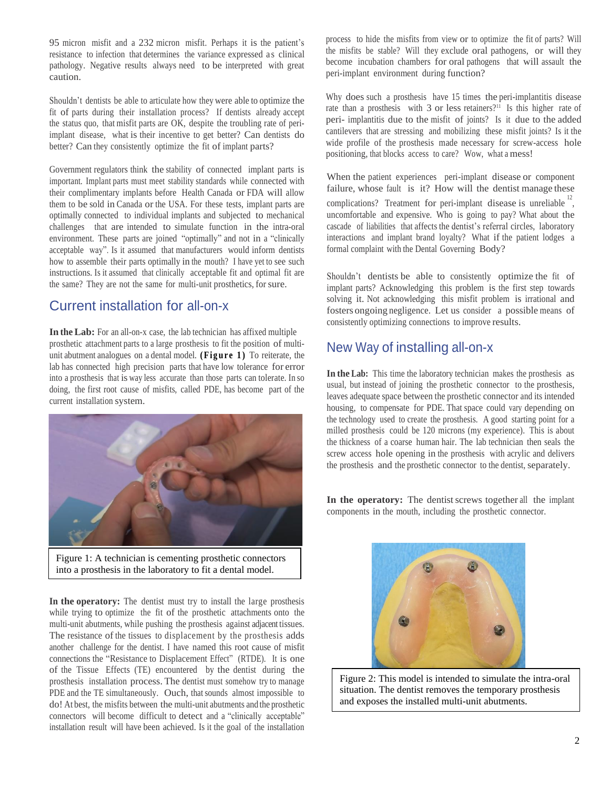95 micron misfit and a 232 micron misfit. Perhaps it is the patient's resistance to infection that determines the variance expressed as clinical pathology. Negative results always need to be interpreted with great caution.

Shouldn't dentists be able to articulate how they were able to optimize the fit of parts during their installation process? If dentists already accept the status quo, that misfit parts are OK, despite the troubling rate of periimplant disease, what is their incentive to get better? Can dentists do better? Can they consistently optimize the fit of implant parts?

Government regulators think the stability of connected implant parts is important. Implant parts must meet stability standards while connected with their complimentary implants before Health Canada or FDA will allow them to be sold in Canada or the USA. For these tests, implant parts are optimally connected to individual implants and subjected to mechanical challenges that are intended to simulate function in the intra-oral environment. These parts are joined "optimally" and not in a "clinically acceptable way". Is it assumed that manufacturers would inform dentists how to assemble their parts optimally in the mouth? I have yet to see such instructions. Is it assumed that clinically acceptable fit and optimal fit are the same? They are not the same for multi-unit prosthetics, for sure.

## Current installation for all-on-x

**In the Lab:** For an all-on-x case, the lab technician has affixed multiple prosthetic attachment parts to a large prosthesis to fit the position of multiunit abutment analogues on a dental model. (Figure 1) To reiterate, the lab has connected high precision parts that have low tolerance for error into a prosthesis that is way less accurate than those parts can tolerate. In so doing, the first root cause of misfits, called PDE, has become part of the current installation system.



Figure 1: A technician is cementing prosthetic connectors into a prosthesis in the laboratory to fit a dental model.

**In the operatory:** The dentist must try to install the large prosthesis while trying to optimize the fit of the prosthetic attachments onto the multi-unit abutments, while pushing the prosthesis against adjacent tissues. The resistance of the tissues to displacement by the prosthesis adds another challenge for the dentist. I have named this root cause of misfit connections the "Resistance to Displacement Effect" (RTDE). It is one of the Tissue Effects (TE) encountered by the dentist during the prosthesis installation process. The dentist must somehow try to manage PDE and the TE simultaneously. Ouch, that sounds almost impossible to do! At best, the misfits between the multi-unit abutments and the prosthetic connectors will become difficult to detect and a "clinically acceptable" installation result will have been achieved. Is it the goal of the installation

process to hide the misfits from view or to optimize the fit of parts? Will the misfits be stable? Will they exclude oral pathogens, or will they become incubation chambers for oral pathogens that will assault the peri-implant environment during function?

Why does such a prosthesis have 15 times the peri-implantitis disease rate than a prosthesis with 3 or less retainers?<sup>11</sup> Is this higher rate of peri- implantitis due to the misfit of joints? Is it due to the added cantilevers that are stressing and mobilizing these misfit joints? Is it the wide profile of the prosthesis made necessary for screw-access hole positioning, that blocks access to care? Wow, what a mess!

When the patient experiences peri-implant disease or component failure, whose fault is it? How will the dentist manage these complications? Treatment for peri-implant disease is unreliable  $\frac{12}{1}$ , uncomfortable and expensive. Who is going to pay? What about the cascade of liabilities that affects the dentist's referral circles, laboratory interactions and implant brand loyalty? What if the patient lodges a formal complaint with the Dental Governing Body?

Shouldn't dentists be able to consistently optimize the fit of implant parts? Acknowledging this problem is the first step towards solving it. Not acknowledging this misfit problem is irrational and fosters ongoing negligence. Let us consider a possible means of consistently optimizing connections to improve results.

## New Way of installing all-on-x

**In the Lab:** This time the laboratory technician makes the prosthesis as usual, but instead of joining the prosthetic connector to the prosthesis, leaves adequate space between the prosthetic connector and its intended housing, to compensate for PDE. That space could vary depending on the technology used to create the prosthesis. A good starting point for a milled prosthesis could be 120 microns (my experience). This is about the thickness of a coarse human hair. The lab technician then seals the screw access hole opening in the prosthesis with acrylic and delivers the prosthesis and the prosthetic connector to the dentist, separately.

In the **operatory:** The dentist screws together all the implant components in the mouth, including the prosthetic connector.



Figure 2: This model is intended to simulate the intra-oral situation. The dentist removes the temporary prosthesis and exposes the installed multi-unit abutments.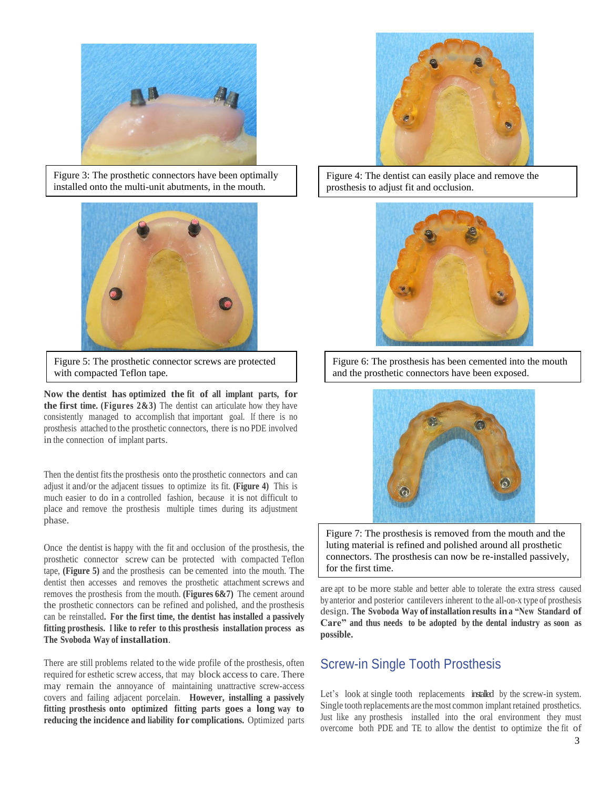

Figure 3: The prosthetic connectors have been optimally installed onto the multi-unit abutments, in the mouth.



Figure 5: The prosthetic connector screws are protected with compacted Teflon tape.

**Now the dentist has optimized the fit of all implant parts, for the first time. (Figures 2&3)** The dentist can articulate how they have consistently managed to accomplish that important goal. If there is no prosthesis attached to the prosthetic connectors, there is no PDE involved in the connection of implant parts.

Then the dentist fits the prosthesis onto the prosthetic connectors and can adjust it and/or the adjacent tissues to optimize its fit. **(Figure 4)** This is much easier to do in a controlled fashion, because it is not difficult to place and remove the prosthesis multiple times during its adjustment phase.

Once the dentist is happy with the fit and occlusion of the prosthesis, the prosthetic connector screw can be protected with compacted Teflon tape, **(Figure 5)** and the prosthesis can be cemented into the mouth. The dentist then accesses and removes the prosthetic attachment screws and removes the prosthesis from the mouth. **(Figures 6&7)** The cement around the prosthetic connectors can be refined and polished, and the prosthesis can be reinstalled**. For the first time, the dentist has installed a passively fitting prosthesis. <sup>I</sup> like to refer to this prosthesis installation process as The Svoboda Way of installation**.

There are still problems related to the wide profile of the prosthesis, often required for esthetic screw access, that may block accessto care. There may remain the annoyance of maintaining unattractive screw-access covers and failing adjacent porcelain. **However, installing a passively fitting prosthesis onto optimized fitting parts goes a long way to reducing the incidence and liability for complications.** Optimized parts



Figure 4: The dentist can easily place and remove the prosthesis to adjust fit and occlusion.



Figure 6: The prosthesis has been cemented into the mouth and the prosthetic connectors have been exposed.



Figure 7: The prosthesis is removed from the mouth and the luting material is refined and polished around all prosthetic connectors. The prosthesis can now be re-installed passively, for the first time.

are apt to be more stable and better able to tolerate the extra stress caused by anterior and posterior cantilevers inherent to the all-on-x type of prosthesis design. **The Svoboda Way ofinstallation results in a "New Standard of Care" and thus needs to be adopted by the dental industry as soon as possible.**

## Screw-in Single Tooth Prosthesis

Let's look at single tooth replacements installed by the screw-in system. Single tooth replacements are the most common implant retained prosthetics. Just like any prosthesis installed into the oral environment they must overcome both PDE and TE to allow the dentist to optimize the fit of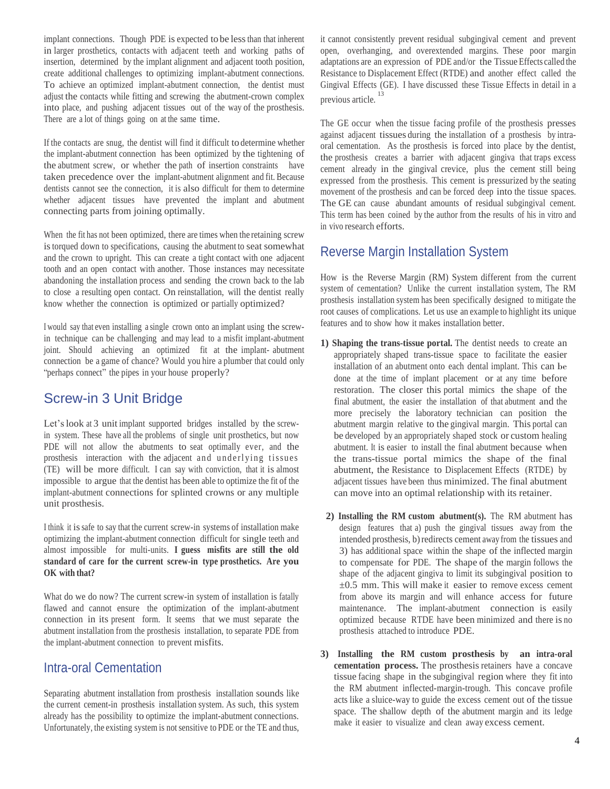implant connections. Though PDE is expected to be lessthan that inherent in larger prosthetics, contacts with adjacent teeth and working paths of insertion, determined by the implant alignment and adjacent tooth position, create additional challenges to optimizing implant-abutment connections. To achieve an optimized implant-abutment connection, the dentist must adjust the contacts while fitting and screwing the abutment-crown complex into place, and pushing adjacent tissues out of the way of the prosthesis. There are a lot of things going on at the same time.

If the contacts are snug, the dentist will find it difficult to determine whether the implant-abutment connection has been optimized by the tightening of the abutment screw, or whether the path of insertion constraints have taken precedence over the implant-abutment alignment and fit. Because dentists cannot see the connection, it is also difficult for them to determine whether adjacent tissues have prevented the implant and abutment connecting parts from joining optimally.

When the fit has not been optimized, there are times when the retaining screw istorqued down to specifications, causing the abutment to seat somewhat and the crown to upright. This can create a tight contact with one adjacent tooth and an open contact with another. Those instances may necessitate abandoning the installation process and sending the crown back to the lab to close a resulting open contact. On reinstallation, will the dentist really know whether the connection is optimized or partially optimized?

<sup>I</sup> would say that even installing a single crown onto an implant using the screwin technique can be challenging and may lead to a misfit implant-abutment joint. Should achieving an optimized fit at the implant- abutment connection be a game of chance? Would you hire a plumber that could only "perhaps connect" the pipes in your house properly?

# Screw-in 3 Unit Bridge

Let's look at 3 unit implant supported bridges installed by the screwin system. These have all the problems of single unit prosthetics, but now PDE will not allow the abutments to seat optimally ever, and the prosthesis interaction with the adjacent and underlying tissues (TE) will be more difficult. I can say with conviction, that it is almost impossible to argue that the dentist has been able to optimize the fit of the implant-abutment connections for splinted crowns or any multiple unit prosthesis.

I think it issafe to say that the current screw-in systems of installation make optimizing the implant-abutment connection difficult for single teeth and almost impossible for multi-units. **I guess misfits are still the old standard of care for the current screw-in type prosthetics. Are you OK with that?**

What do we do now? The current screw-in system of installation is fatally flawed and cannot ensure the optimization of the implant-abutment connection in its present form. It seems that we must separate the abutment installation from the prosthesis installation, to separate PDE from the implant-abutment connection to prevent misfits.

## Intra-oral Cementation

Separating abutment installation from prosthesis installation sounds like the current cement-in prosthesis installation system. As such, this system already has the possibility to optimize the implant-abutment connections. Unfortunately, the existing system is not sensitive to PDE or the TE and thus,

it cannot consistently prevent residual subgingival cement and prevent open, overhanging, and overextended margins. These poor margin adaptations are an expression of PDE and/or the Tissue Effects called the Resistance to Displacement Effect (RTDE) and another effect called the Gingival Effects (GE). I have discussed these Tissue Effects in detail in a previous article. 13

The GE occur when the tissue facing profile of the prosthesis presses against adjacent tissues during the installation of a prosthesis by intraoral cementation. As the prosthesis is forced into place by the dentist, the prosthesis creates a barrier with adjacent gingiva that traps excess cement already in the gingival crevice, plus the cement still being expressed from the prosthesis. This cement is pressurized by the seating movement of the prosthesis and can be forced deep into the tissue spaces. The GE can cause abundant amounts of residual subgingival cement. This term has been coined by the author from the results of his in vitro and in vivo research efforts.

## Reverse Margin Installation System

How is the Reverse Margin (RM) System different from the current system of cementation? Unlike the current installation system, The RM prosthesis installation system has been specifically designed to mitigate the root causes of complications. Let us use an example to highlight its unique features and to show how it makes installation better.

- **1) Shaping the trans-tissue portal.** The dentist needs to create an appropriately shaped trans-tissue space to facilitate the easier installation of an abutment onto each dental implant. This can be done at the time of implant placement or at any time before restoration. The closer this portal mimics the shape of the final abutment, the easier the installation of that abutment and the more precisely the laboratory technician can position the abutment margin relative to the gingival margin. This portal can be developed by an appropriately shaped stock or custom healing abutment. It is easier to install the final abutment because when the trans-tissue portal mimics the shape of the final abutment, the Resistance to Displacement Effects (RTDE) by adjacent tissues have been thus minimized. The final abutment can move into an optimal relationship with its retainer.
- **2) Installing the RM custom abutment(s).** The RM abutment has design features that a) push the gingival tissues away from the intended prosthesis, b) redirects cement away from the tissues and 3) has additional space within the shape of the inflected margin to compensate for PDE. The shape of the margin follows the shape of the adjacent gingiva to limit its subgingival position to  $\pm 0.5$  mm. This will make it easier to remove excess cement from above its margin and will enhance access for future maintenance. The implant-abutment connection is easily optimized because RTDE have been minimized and there is no prosthesis attached to introduce PDE.
- **3) Installing the RM custom prosthesis by an intra-oral cementation process.** The prosthesis retainers have a concave tissue facing shape in the subgingival region where they fit into the RM abutment inflected-margin-trough. This concave profile acts like a sluice-way to guide the excess cement out of the tissue space. The shallow depth of the abutment margin and its ledge make it easier to visualize and clean away excess cement.